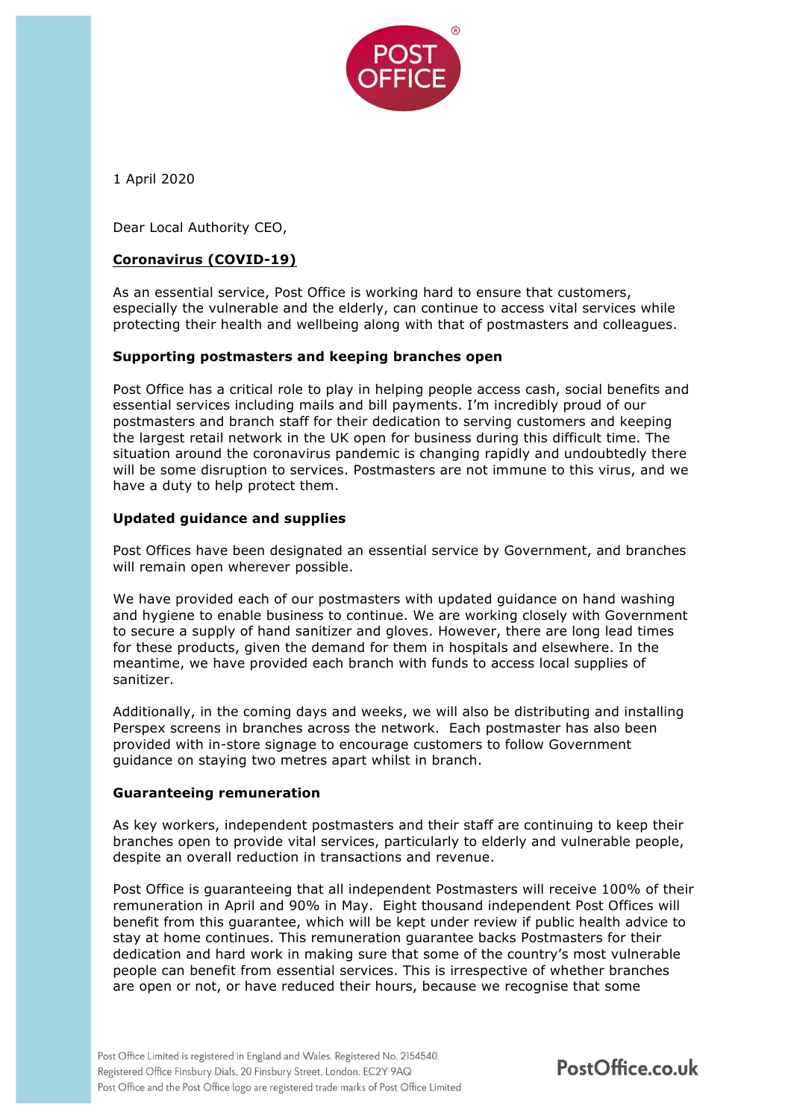

1 April 2020

Dear Local Authority CEO,

# **Coronavirus (COVID-19)**

As an essential service, Post Office is working hard to ensure that customers, especially the vulnerable and the elderly, can continue to access vital services while protecting their health and wellbeing along with that of postmasters and colleagues.

## **Supporting postmasters and keeping branches open**

Post Office has a critical role to play in helping people access cash, social benefits and essential services including mails and bill payments. I'm incredibly proud of our postmasters and branch staff for their dedication to serving customers and keeping the largest retail network in the UK open for business during this difficult time. The situation around the coronavirus pandemic is changing rapidly and undoubtedly there will be some disruption to services. Postmasters are not immune to this virus, and we have a duty to help protect them.

## **Updated guidance and supplies**

Post Offices have been designated an essential service by Government, and branches will remain open wherever possible.

We have provided each of our postmasters with updated guidance on hand washing and hygiene to enable business to continue. We are working closely with Government to secure a supply of hand sanitizer and gloves. However, there are long lead times for these products, given the demand for them in hospitals and elsewhere. In the meantime, we have provided each branch with funds to access local supplies of sanitizer.

Additionally, in the coming days and weeks, we will also be distributing and installing Perspex screens in branches across the network. Each postmaster has also been provided with in-store signage to encourage customers to follow Government guidance on staying two metres apart whilst in branch.

## **Guaranteeing remuneration**

As key workers, independent postmasters and their staff are continuing to keep their branches open to provide vital services, particularly to elderly and vulnerable people, despite an overall reduction in transactions and revenue.

Post Office is guaranteeing that all independent Postmasters will receive 100% of their remuneration in April and 90% in May. Eight thousand independent Post Offices will benefit from this guarantee, which will be kept under review if public health advice to stay at home continues. This remuneration guarantee backs Postmasters for their dedication and hard work in making sure that some of the country's most vulnerable people can benefit from essential services. This is irrespective of whether branches are open or not, or have reduced their hours, because we recognise that some

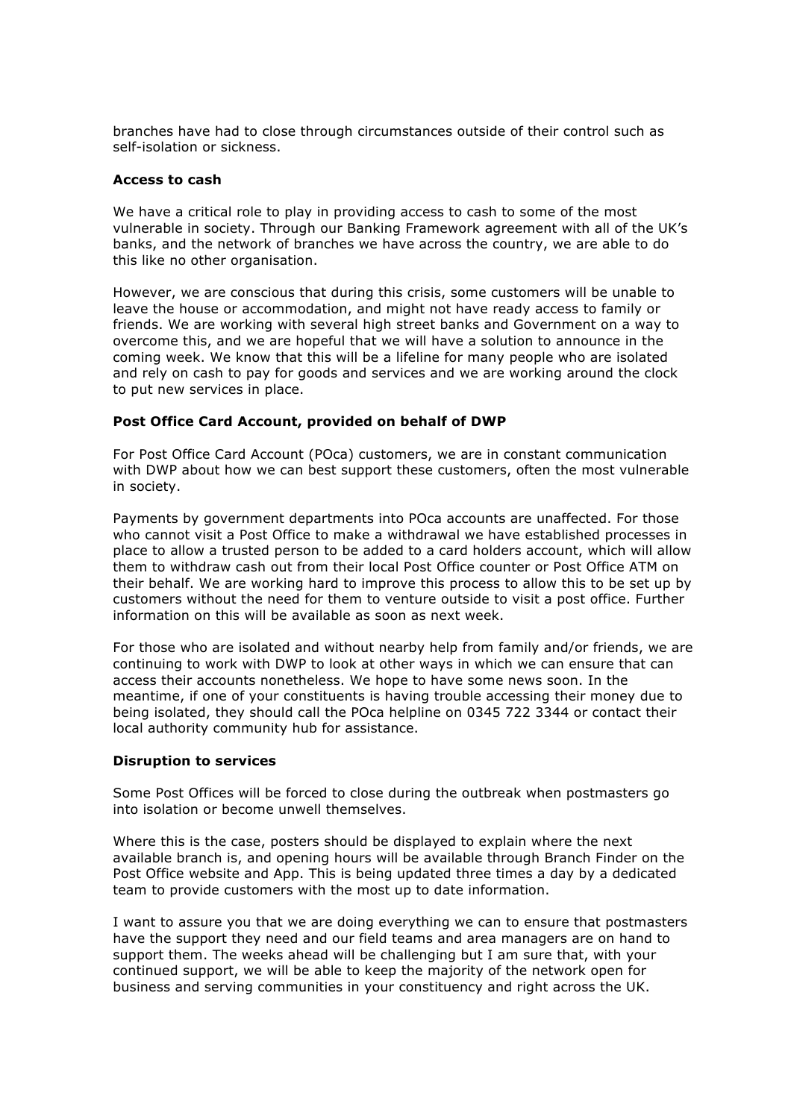branches have had to close through circumstances outside of their control such as self-isolation or sickness.

#### **Access to cash**

We have a critical role to play in providing access to cash to some of the most vulnerable in society. Through our Banking Framework agreement with all of the UK's banks, and the network of branches we have across the country, we are able to do this like no other organisation.

However, we are conscious that during this crisis, some customers will be unable to leave the house or accommodation, and might not have ready access to family or friends. We are working with several high street banks and Government on a way to overcome this, and we are hopeful that we will have a solution to announce in the coming week. We know that this will be a lifeline for many people who are isolated and rely on cash to pay for goods and services and we are working around the clock to put new services in place.

#### **Post Office Card Account, provided on behalf of DWP**

For Post Office Card Account (POca) customers, we are in constant communication with DWP about how we can best support these customers, often the most vulnerable in society.

Payments by government departments into POca accounts are unaffected. For those who cannot visit a Post Office to make a withdrawal we have established processes in place to allow a trusted person to be added to a card holders account, which will allow them to withdraw cash out from their local Post Office counter or Post Office ATM on their behalf. We are working hard to improve this process to allow this to be set up by customers without the need for them to venture outside to visit a post office. Further information on this will be available as soon as next week.

For those who are isolated and without nearby help from family and/or friends, we are continuing to work with DWP to look at other ways in which we can ensure that can access their accounts nonetheless. We hope to have some news soon. In the meantime, if one of your constituents is having trouble accessing their money due to being isolated, they should call the POca helpline on 0345 722 3344 or contact their local authority community hub for assistance.

## **Disruption to services**

Some Post Offices will be forced to close during the outbreak when postmasters go into isolation or become unwell themselves.

Where this is the case, posters should be displayed to explain where the next available branch is, and opening hours will be available through Branch Finder on the Post Office website and App. This is being updated three times a day by a dedicated team to provide customers with the most up to date information.

I want to assure you that we are doing everything we can to ensure that postmasters have the support they need and our field teams and area managers are on hand to support them. The weeks ahead will be challenging but I am sure that, with your continued support, we will be able to keep the majority of the network open for business and serving communities in your constituency and right across the UK.